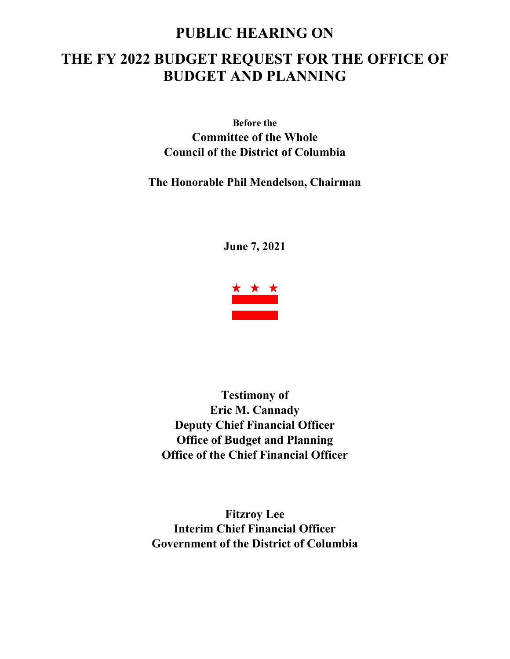# **PUBLIC HEARING ON THE FY 2022 BUDGET REQUEST FOR THE OFFICE OF BUDGET AND PLANNING**

**Before the Committee of the Whole Council of the District of Columbia**

# **The Honorable Phil Mendelson, Chairman**

**June 7, 2021**



**Testimony of Eric M. Cannady Deputy Chief Financial Officer Office of Budget and Planning Office of the Chief Financial Officer**

**Fitzroy Lee Interim Chief Financial Officer Government of the District of Columbia**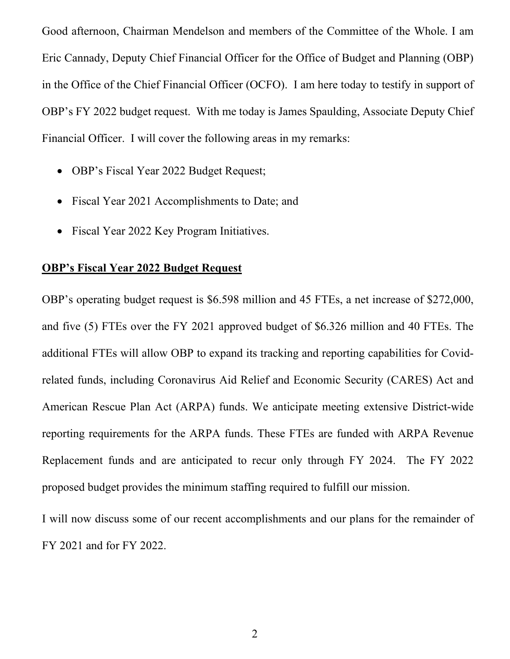Good afternoon, Chairman Mendelson and members of the Committee of the Whole. I am Eric Cannady, Deputy Chief Financial Officer for the Office of Budget and Planning (OBP) in the Office of the Chief Financial Officer (OCFO). I am here today to testify in support of OBP's FY 2022 budget request. With me today is James Spaulding, Associate Deputy Chief Financial Officer. I will cover the following areas in my remarks:

- OBP's Fiscal Year 2022 Budget Request;
- Fiscal Year 2021 Accomplishments to Date; and
- Fiscal Year 2022 Key Program Initiatives.

## **OBP's Fiscal Year 2022 Budget Request**

OBP's operating budget request is \$6.598 million and 45 FTEs, a net increase of \$272,000, and five (5) FTEs over the FY 2021 approved budget of \$6.326 million and 40 FTEs. The additional FTEs will allow OBP to expand its tracking and reporting capabilities for Covidrelated funds, including Coronavirus Aid Relief and Economic Security (CARES) Act and American Rescue Plan Act (ARPA) funds. We anticipate meeting extensive District-wide reporting requirements for the ARPA funds. These FTEs are funded with ARPA Revenue Replacement funds and are anticipated to recur only through FY 2024. The FY 2022 proposed budget provides the minimum staffing required to fulfill our mission.

I will now discuss some of our recent accomplishments and our plans for the remainder of FY 2021 and for FY 2022.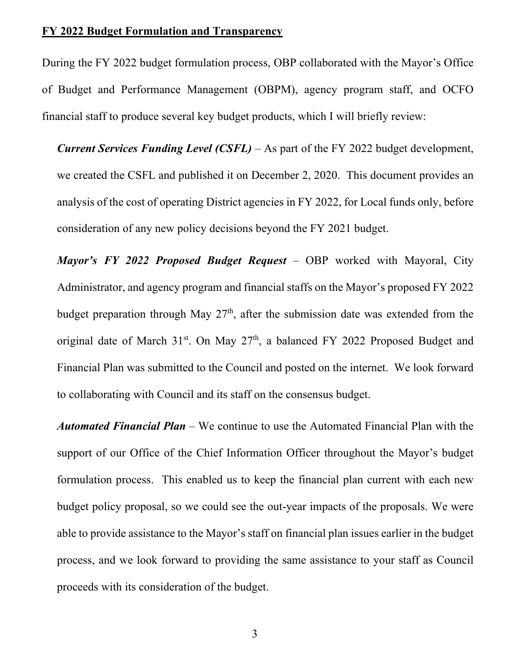#### **FY 2022 Budget Formulation and Transparency**

During the FY 2022 budget formulation process, OBP collaborated with the Mayor's Office of Budget and Performance Management (OBPM), agency program staff, and OCFO financial staff to produce several key budget products, which I will briefly review:

*Current Services Funding Level (CSFL)* – As part of the FY 2022 budget development, we created the CSFL and published it on December 2, 2020. This document provides an analysis of the cost of operating District agencies in FY 2022, for Local funds only, before consideration of any new policy decisions beyond the FY 2021 budget.

*Mayor's FY 2022 Proposed Budget Request* – OBP worked with Mayoral, City Administrator, and agency program and financial staffs on the Mayor's proposed FY 2022 budget preparation through May  $27<sup>th</sup>$ , after the submission date was extended from the original date of March 31st. On May 27<sup>th</sup>, a balanced FY 2022 Proposed Budget and Financial Plan was submitted to the Council and posted on the internet. We look forward to collaborating with Council and its staff on the consensus budget.

*Automated Financial Plan* – We continue to use the Automated Financial Plan with the support of our Office of the Chief Information Officer throughout the Mayor's budget formulation process. This enabled us to keep the financial plan current with each new budget policy proposal, so we could see the out-year impacts of the proposals. We were able to provide assistance to the Mayor's staff on financial plan issues earlier in the budget process, and we look forward to providing the same assistance to your staff as Council proceeds with its consideration of the budget.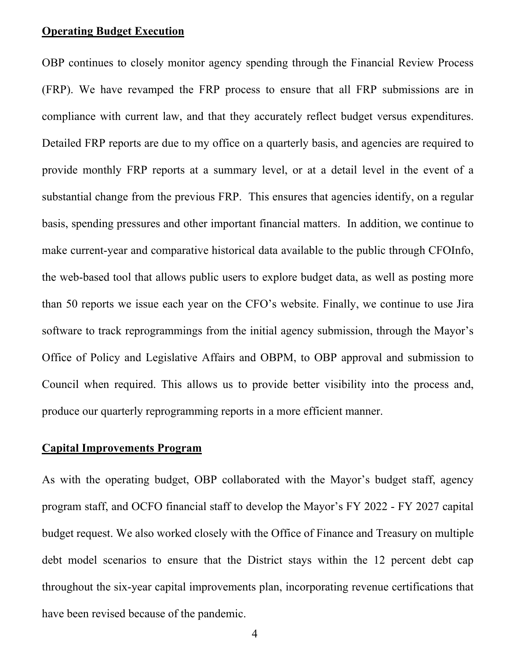#### **Operating Budget Execution**

OBP continues to closely monitor agency spending through the Financial Review Process (FRP). We have revamped the FRP process to ensure that all FRP submissions are in compliance with current law, and that they accurately reflect budget versus expenditures. Detailed FRP reports are due to my office on a quarterly basis, and agencies are required to provide monthly FRP reports at a summary level, or at a detail level in the event of a substantial change from the previous FRP. This ensures that agencies identify, on a regular basis, spending pressures and other important financial matters. In addition, we continue to make current-year and comparative historical data available to the public through CFOInfo, the web-based tool that allows public users to explore budget data, as well as posting more than 50 reports we issue each year on the CFO's website. Finally, we continue to use Jira software to track reprogrammings from the initial agency submission, through the Mayor's Office of Policy and Legislative Affairs and OBPM, to OBP approval and submission to Council when required. This allows us to provide better visibility into the process and, produce our quarterly reprogramming reports in a more efficient manner.

#### **Capital Improvements Program**

As with the operating budget, OBP collaborated with the Mayor's budget staff, agency program staff, and OCFO financial staff to develop the Mayor's FY 2022 - FY 2027 capital budget request. We also worked closely with the Office of Finance and Treasury on multiple debt model scenarios to ensure that the District stays within the 12 percent debt cap throughout the six-year capital improvements plan, incorporating revenue certifications that have been revised because of the pandemic.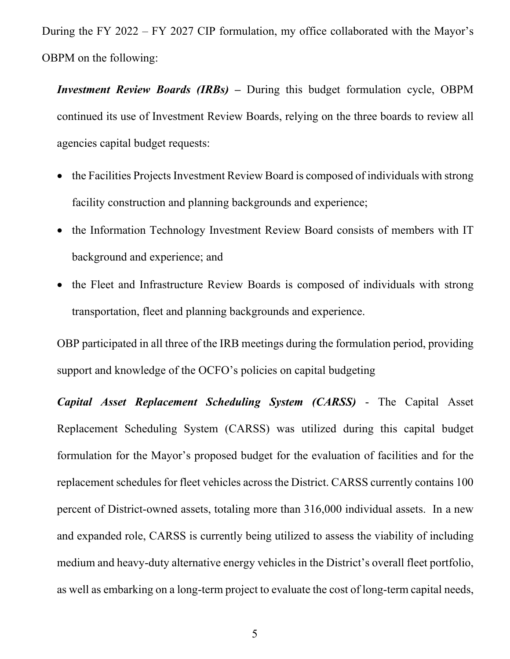During the FY 2022 – FY 2027 CIP formulation, my office collaborated with the Mayor's OBPM on the following:

*Investment Review Boards (IRBs) –* During this budget formulation cycle, OBPM continued its use of Investment Review Boards, relying on the three boards to review all agencies capital budget requests:

- the Facilities Projects Investment Review Board is composed of individuals with strong facility construction and planning backgrounds and experience;
- the Information Technology Investment Review Board consists of members with IT background and experience; and
- the Fleet and Infrastructure Review Boards is composed of individuals with strong transportation, fleet and planning backgrounds and experience.

OBP participated in all three of the IRB meetings during the formulation period, providing support and knowledge of the OCFO's policies on capital budgeting

*Capital Asset Replacement Scheduling System (CARSS)* - The Capital Asset Replacement Scheduling System (CARSS) was utilized during this capital budget formulation for the Mayor's proposed budget for the evaluation of facilities and for the replacement schedules for fleet vehicles across the District. CARSS currently contains 100 percent of District-owned assets, totaling more than 316,000 individual assets. In a new and expanded role, CARSS is currently being utilized to assess the viability of including medium and heavy-duty alternative energy vehicles in the District's overall fleet portfolio, as well as embarking on a long-term project to evaluate the cost of long-term capital needs,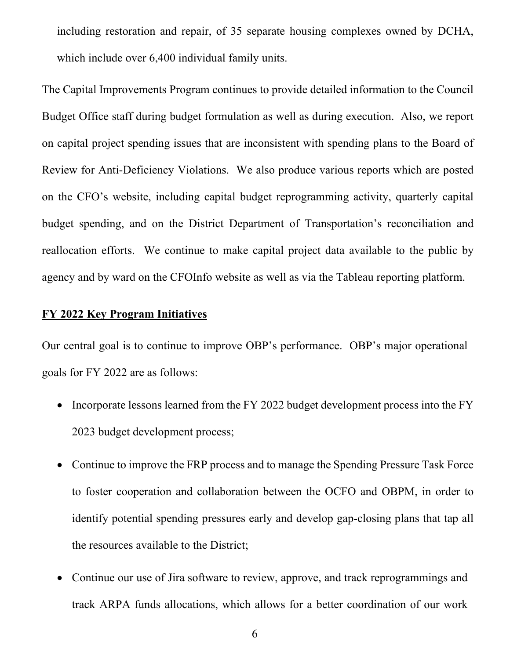including restoration and repair, of 35 separate housing complexes owned by DCHA, which include over 6,400 individual family units.

The Capital Improvements Program continues to provide detailed information to the Council Budget Office staff during budget formulation as well as during execution. Also, we report on capital project spending issues that are inconsistent with spending plans to the Board of Review for Anti-Deficiency Violations. We also produce various reports which are posted on the CFO's website, including capital budget reprogramming activity, quarterly capital budget spending, and on the District Department of Transportation's reconciliation and reallocation efforts. We continue to make capital project data available to the public by agency and by ward on the CFOInfo website as well as via the Tableau reporting platform.

## **FY 2022 Key Program Initiatives**

Our central goal is to continue to improve OBP's performance. OBP's major operational goals for FY 2022 are as follows:

- Incorporate lessons learned from the FY 2022 budget development process into the FY 2023 budget development process;
- Continue to improve the FRP process and to manage the Spending Pressure Task Force to foster cooperation and collaboration between the OCFO and OBPM, in order to identify potential spending pressures early and develop gap-closing plans that tap all the resources available to the District;
- Continue our use of Jira software to review, approve, and track reprogrammings and track ARPA funds allocations, which allows for a better coordination of our work